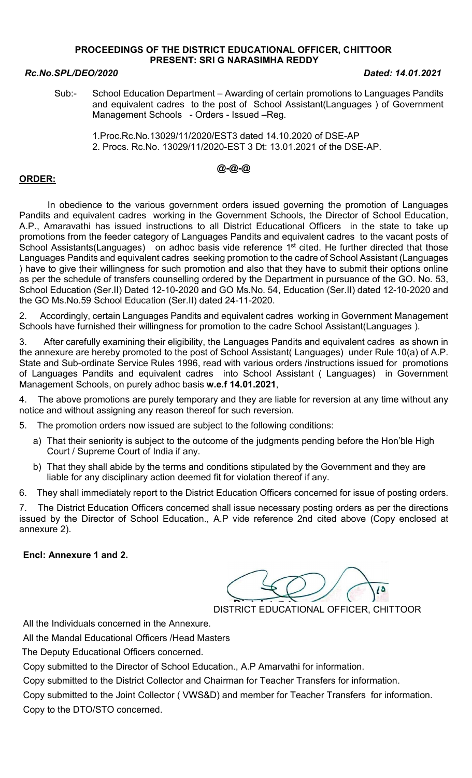## PROCEEDINGS OF THE DISTRICT EDUCATIONAL OFFICER, CHITTOOR PRESENT: SRI G NARASIMHA REDDY

## Rc.No.SPL/DEO/2020 Dated: 14.01.2021

Sub:- School Education Department – Awarding of certain promotions to Languages Pandits and equivalent cadres to the post of School Assistant(Languages ) of Government Management Schools - Orders - Issued -Reg.

 1.Proc.Rc.No.13029/11/2020/EST3 dated 14.10.2020 of DSE-AP 2. Procs. Rc.No. 13029/11/2020-EST 3 Dt: 13.01.2021 of the DSE-AP.

# @-@-@

# ORDER:

 In obedience to the various government orders issued governing the promotion of Languages Pandits and equivalent cadres working in the Government Schools, the Director of School Education, A.P., Amaravathi has issued instructions to all District Educational Officers in the state to take up promotions from the feeder category of Languages Pandits and equivalent cadres to the vacant posts of School Assistants(Languages) on adhoc basis vide reference 1<sup>st</sup> cited. He further directed that those Languages Pandits and equivalent cadres seeking promotion to the cadre of School Assistant (Languages ) have to give their willingness for such promotion and also that they have to submit their options online as per the schedule of transfers counselling ordered by the Department in pursuance of the GO. No. 53, School Education (Ser.II) Dated 12-10-2020 and GO Ms.No. 54, Education (Ser.II) dated 12-10-2020 and the GO Ms.No.59 School Education (Ser.II) dated 24-11-2020.

2. Accordingly, certain Languages Pandits and equivalent cadres working in Government Management Schools have furnished their willingness for promotion to the cadre School Assistant(Languages ).

3. After carefully examining their eligibility, the Languages Pandits and equivalent cadres as shown in the annexure are hereby promoted to the post of School Assistant( Languages) under Rule 10(a) of A.P. State and Sub-ordinate Service Rules 1996, read with various orders /instructions issued for promotions of Languages Pandits and equivalent cadres into School Assistant ( Languages) in Government Management Schools, on purely adhoc basis w.e.f 14.01.2021,

4. The above promotions are purely temporary and they are liable for reversion at any time without any notice and without assigning any reason thereof for such reversion.

5. The promotion orders now issued are subject to the following conditions:

- a) That their seniority is subject to the outcome of the judgments pending before the Hon'ble High Court / Supreme Court of India if any.
- b) That they shall abide by the terms and conditions stipulated by the Government and they are liable for any disciplinary action deemed fit for violation thereof if any.

6. They shall immediately report to the District Education Officers concerned for issue of posting orders.

7. The District Education Officers concerned shall issue necessary posting orders as per the directions issued by the Director of School Education., A.P vide reference 2nd cited above (Copy enclosed at annexure 2).

## Encl: Annexure 1 and 2.

DISTRICT EDUCATIONAL OFFICER, CHITTOOR

All the Individuals concerned in the Annexure.

All the Mandal Educational Officers /Head Masters

The Deputy Educational Officers concerned.

Copy submitted to the Director of School Education., A.P Amarvathi for information.

Copy submitted to the District Collector and Chairman for Teacher Transfers for information.

Copy submitted to the Joint Collector ( VWS&D) and member for Teacher Transfers for information. Copy to the DTO/STO concerned.